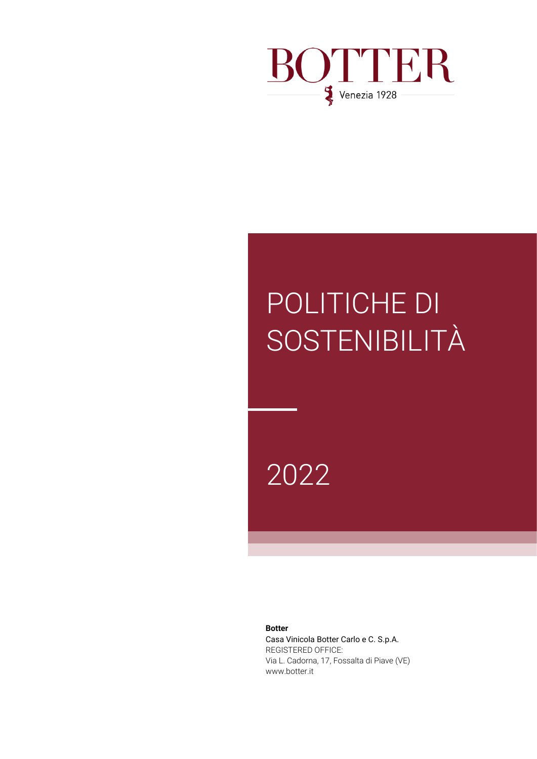

# POLITICHE DI SOSTENIBILITÀ

2022

**Botter**

Casa Vinicola Botter Carlo e C. S.p.A. REGISTERED OFFICE: Via L. Cadorna, 17, Fossalta di Piave (VE) www.botter.it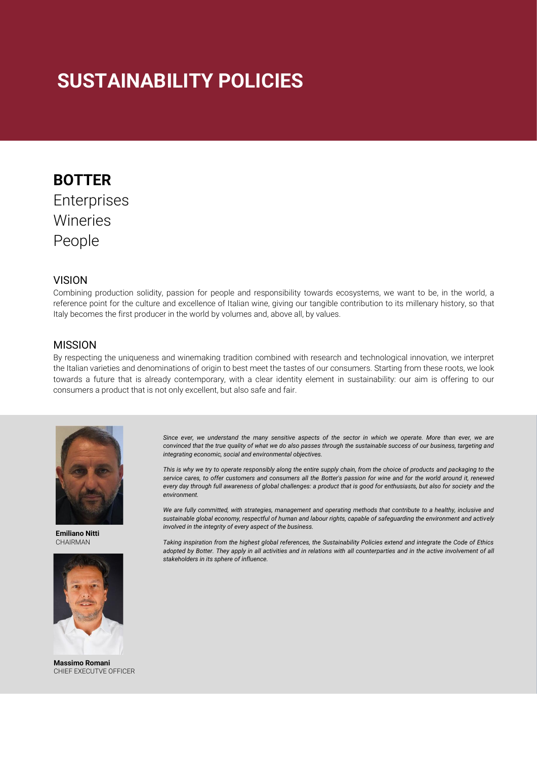## **SUSTAINABILITY POLICIES**

## **BOTTER** Enterprises Wineries People

#### **VISION**

Combining production solidity, passion for people and responsibility towards ecosystems, we want to be, in the world, a reference point for the culture and excellence of Italian wine, giving our tangible contribution to its millenary history, so that Italy becomes the first producer in the world by volumes and, above all, by values.

#### MISSION

By respecting the uniqueness and winemaking tradition combined with research and technological innovation, we interpret the Italian varieties and denominations of origin to best meet the tastes of our consumers. Starting from these roots, we look towards a future that is already contemporary, with a clear identity element in sustainability: our aim is offering to our consumers a product that is not only excellent, but also safe and fair.



**Emiliano Nitti** CHAIRMAN



**Massimo Romani** CHIEF EXECUTVE OFFICER

*Since ever, we understand the many sensitive aspects of the sector in which we operate. More than ever, we are convinced that the true quality of what we do also passes through the sustainable success of our business, targeting and integrating economic, social and environmental objectives.*

*This is why we try to operate responsibly along the entire supply chain, from the choice of products and packaging to the service cares, to offer customers and consumers all the Botter's passion for wine and for the world around it, renewed every day through full awareness of global challenges: a product that is good for enthusiasts, but also for society and the environment.*

We are fully committed, with strategies, management and operating methods that contribute to a healthy, inclusive and *sustainable global economy, respectful of human and labour rights, capable of safeguarding the environment and actively involved in the integrity of every aspect of the business.*

*Taking inspiration from the highest global references, the Sustainability Policies extend and integrate the Code of Ethics*  adopted by Botter. They apply in all activities and in relations with all counterparties and in the active involvement of all *stakeholders in its sphere of influence.*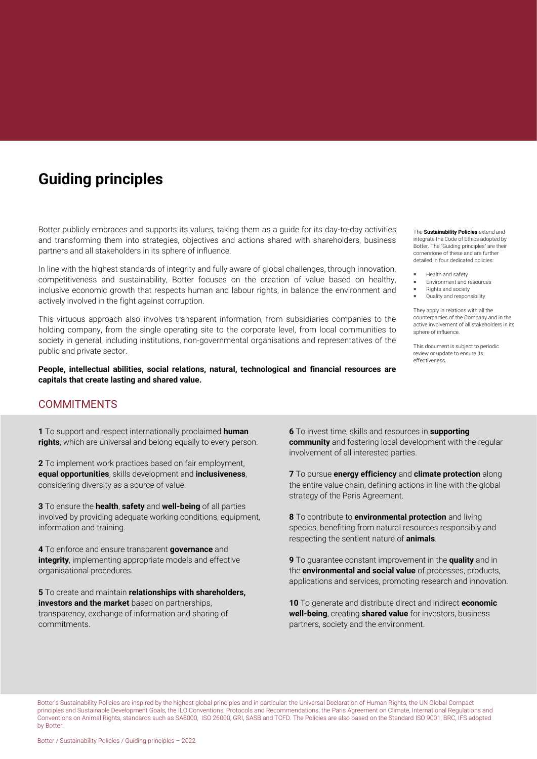## **Guiding principles**

Botter publicly embraces and supports its values, taking them as a guide for its day-to-day activities and transforming them into strategies, objectives and actions shared with shareholders, business partners and all stakeholders in its sphere of influence.

In line with the highest standards of integrity and fully aware of global challenges, through innovation, competitiveness and sustainability, Botter focuses on the creation of value based on healthy, inclusive economic growth that respects human and labour rights, in balance the environment and actively involved in the fight against corruption.

This virtuous approach also involves transparent information, from subsidiaries companies to the holding company, from the single operating site to the corporate level, from local communities to society in general, including institutions, non-governmental organisations and representatives of the public and private sector.

**People, intellectual abilities, social relations, natural, technological and financial resources are capitals that create lasting and shared value.**

#### The **Sustainability Policies** extend and integrate the Code of Ethics adopted by Botter. The "Guiding principles" are their cornerstone of these and are further detailed in four dedicated policies:

- Health and safety
- Environment and resources Rights and society
- Quality and responsibility

They apply in relations with all the counterparties of the Company and in the active involvement of all stakeholders in its sphere of influence.

This document is subject to periodic review or update to ensure its effectiveness.

#### **COMMITMENTS**

**1** To support and respect internationally proclaimed **human rights**, which are universal and belong equally to every person.

**2** To implement work practices based on fair employment, **equal opportunities**, skills development and **inclusiveness**, considering diversity as a source of value.

**3** To ensure the **health**, **safety** and **well-being** of all parties involved by providing adequate working conditions, equipment, information and training.

**4** To enforce and ensure transparent **governance** and **integrity**, implementing appropriate models and effective organisational procedures.

**5** To create and maintain **relationships with shareholders, investors and the market** based on partnerships, transparency, exchange of information and sharing of commitments.

**6** To invest time, skills and resources in **supporting community** and fostering local development with the regular involvement of all interested parties.

**7** To pursue **energy efficiency** and **climate protection** along the entire value chain, defining actions in line with the global strategy of the Paris Agreement.

**8** To contribute to **environmental protection** and living species, benefiting from natural resources responsibly and respecting the sentient nature of **animals**.

**9** To guarantee constant improvement in the **quality** and in the **environmental and social value** of processes, products, applications and services, promoting research and innovation.

**10** To generate and distribute direct and indirect **economic well-being**, creating **shared value** for investors, business partners, society and the environment.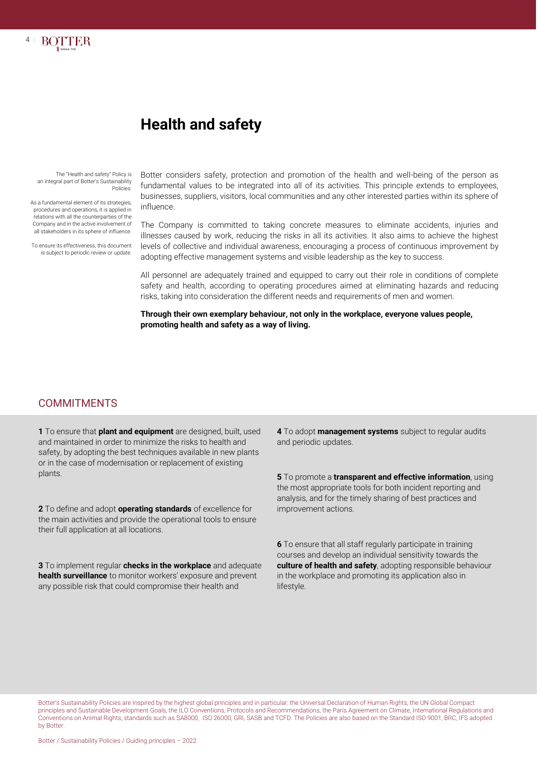

The "Health and safety" Policy is an integral part of Botter's Sustainability Policies.

4 **|**

**BOTTER** 

As a fundamental element of its strategies, procedures and operations, it is applied in relations with all the counterparties of the Company and in the active involvement of all stakeholders in its sphere of influence.

To ensure its effectiveness, this document is subject to periodic review or update.

Botter considers safety, protection and promotion of the health and well-being of the person as fundamental values to be integrated into all of its activities. This principle extends to employees, businesses, suppliers, visitors, local communities and any other interested parties within its sphere of influence.

The Company is committed to taking concrete measures to eliminate accidents, injuries and illnesses caused by work, reducing the risks in all its activities. It also aims to achieve the highest levels of collective and individual awareness, encouraging a process of continuous improvement by adopting effective management systems and visible leadership as the key to success.

All personnel are adequately trained and equipped to carry out their role in conditions of complete safety and health, according to operating procedures aimed at eliminating hazards and reducing risks, taking into consideration the different needs and requirements of men and women.

**Through their own exemplary behaviour, not only in the workplace, everyone values people, promoting health and safety as a way of living.**

#### **COMMITMENTS**

**1** To ensure that **plant and equipment** are designed, built, used and maintained in order to minimize the risks to health and safety, by adopting the best techniques available in new plants or in the case of modernisation or replacement of existing plants.

**2** To define and adopt **operating standards** of excellence for the main activities and provide the operational tools to ensure their full application at all locations.

**3** To implement regular **checks in the workplace** and adequate **health surveillance** to monitor workers' exposure and prevent any possible risk that could compromise their health and

**4** To adopt **management systems** subject to regular audits and periodic updates.

**5** To promote a **transparent and effective information**, using the most appropriate tools for both incident reporting and analysis, and for the timely sharing of best practices and improvement actions.

**6** To ensure that all staff regularly participate in training courses and develop an individual sensitivity towards the **culture of health and safety**, adopting responsible behaviour in the workplace and promoting its application also in lifestyle.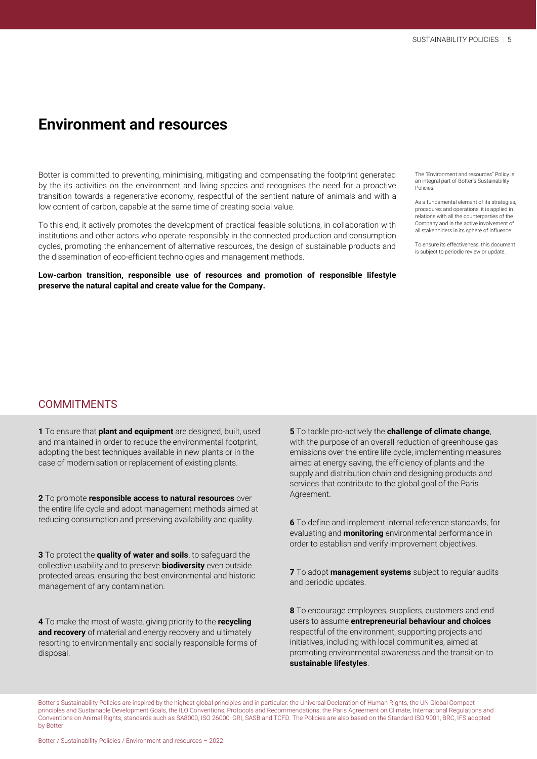### **Environment and resources**

Botter is committed to preventing, minimising, mitigating and compensating the footprint generated by the its activities on the environment and living species and recognises the need for a proactive transition towards a regenerative economy, respectful of the sentient nature of animals and with a low content of carbon, capable at the same time of creating social value.

To this end, it actively promotes the development of practical feasible solutions, in collaboration with institutions and other actors who operate responsibly in the connected production and consumption cycles, promoting the enhancement of alternative resources, the design of sustainable products and the dissemination of eco-efficient technologies and management methods.

**Low-carbon transition, responsible use of resources and promotion of responsible lifestyle preserve the natural capital and create value for the Company.**

The "Environment and resources" Policy is an integral part of Botter's Sustainability Policies.

As a fundamental element of its strategies, procedures and operations, it is applied in relations with all the counterparties of the Company and in the active involvement of all stakeholders in its sphere of influence.

To ensure its effectiveness, this document is subject to periodic review or update.

#### **COMMITMENTS**

**1** To ensure that **plant and equipment** are designed, built, used and maintained in order to reduce the environmental footprint, adopting the best techniques available in new plants or in the case of modernisation or replacement of existing plants.

**2** To promote **responsible access to natural resources** over the entire life cycle and adopt management methods aimed at reducing consumption and preserving availability and quality.

**3** To protect the **quality of water and soils**, to safeguard the collective usability and to preserve **biodiversity** even outside protected areas, ensuring the best environmental and historic management of any contamination.

**4** To make the most of waste, giving priority to the **recycling and recovery** of material and energy recovery and ultimately resorting to environmentally and socially responsible forms of disposal.

**5** To tackle pro-actively the **challenge of climate change**, with the purpose of an overall reduction of greenhouse gas emissions over the entire life cycle, implementing measures aimed at energy saving, the efficiency of plants and the supply and distribution chain and designing products and services that contribute to the global goal of the Paris Agreement.

**6** To define and implement internal reference standards, for evaluating and **monitoring** environmental performance in order to establish and verify improvement objectives.

**7** To adopt **management systems** subject to regular audits and periodic updates.

**8** To encourage employees, suppliers, customers and end users to assume **entrepreneurial behaviour and choices** respectful of the environment, supporting projects and initiatives, including with local communities, aimed at promoting environmental awareness and the transition to **sustainable lifestyles**.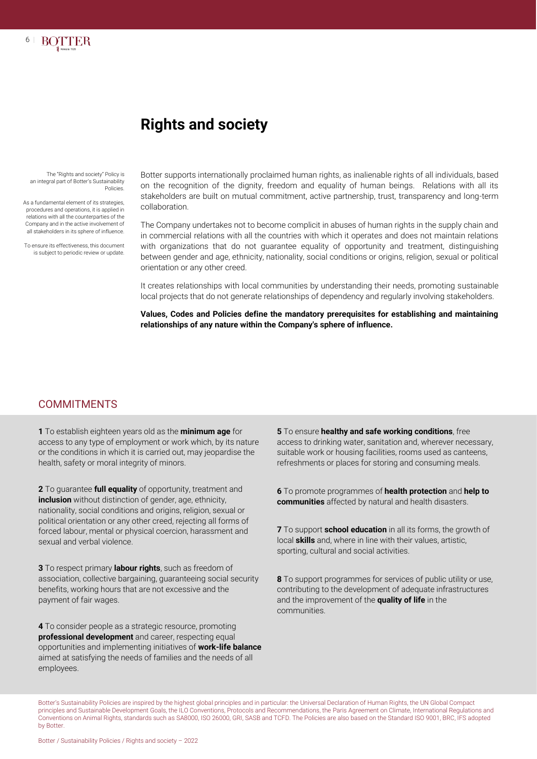

## **Rights and society**

The "Rights and society" Policy is an integral part of Botter's Sustainability Policies.

As a fundamental element of its strategies, procedures and operations, it is applied in relations with all the counterparties of the Company and in the active involvement of all stakeholders in its sphere of influence.

To ensure its effectiveness, this document is subject to periodic review or update

Botter supports internationally proclaimed human rights, as inalienable rights of all individuals, based on the recognition of the dignity, freedom and equality of human beings. Relations with all its stakeholders are built on mutual commitment, active partnership, trust, transparency and long-term collaboration.

The Company undertakes not to become complicit in abuses of human rights in the supply chain and in commercial relations with all the countries with which it operates and does not maintain relations with organizations that do not guarantee equality of opportunity and treatment, distinguishing between gender and age, ethnicity, nationality, social conditions or origins, religion, sexual or political orientation or any other creed.

It creates relationships with local communities by understanding their needs, promoting sustainable local projects that do not generate relationships of dependency and regularly involving stakeholders.

**Values, Codes and Policies define the mandatory prerequisites for establishing and maintaining relationships of any nature within the Company's sphere of influence.**

#### **COMMITMENTS**

**1** To establish eighteen years old as the **minimum age** for access to any type of employment or work which, by its nature or the conditions in which it is carried out, may jeopardise the health, safety or moral integrity of minors.

**2** To guarantee **full equality** of opportunity, treatment and **inclusion** without distinction of gender, age, ethnicity, nationality, social conditions and origins, religion, sexual or political orientation or any other creed, rejecting all forms of forced labour, mental or physical coercion, harassment and sexual and verbal violence.

**3** To respect primary **labour rights**, such as freedom of association, collective bargaining, guaranteeing social security benefits, working hours that are not excessive and the payment of fair wages.

**4** To consider people as a strategic resource, promoting **professional development** and career, respecting equal opportunities and implementing initiatives of **work-life balance** aimed at satisfying the needs of families and the needs of all employees.

**5** To ensure **healthy and safe working conditions**, free access to drinking water, sanitation and, wherever necessary, suitable work or housing facilities, rooms used as canteens, refreshments or places for storing and consuming meals.

**6** To promote programmes of **health protection** and **help to communities** affected by natural and health disasters.

**7** To support **school education** in all its forms, the growth of local **skills** and, where in line with their values, artistic, sporting, cultural and social activities.

**8** To support programmes for services of public utility or use, contributing to the development of adequate infrastructures and the improvement of the **quality of life** in the communities.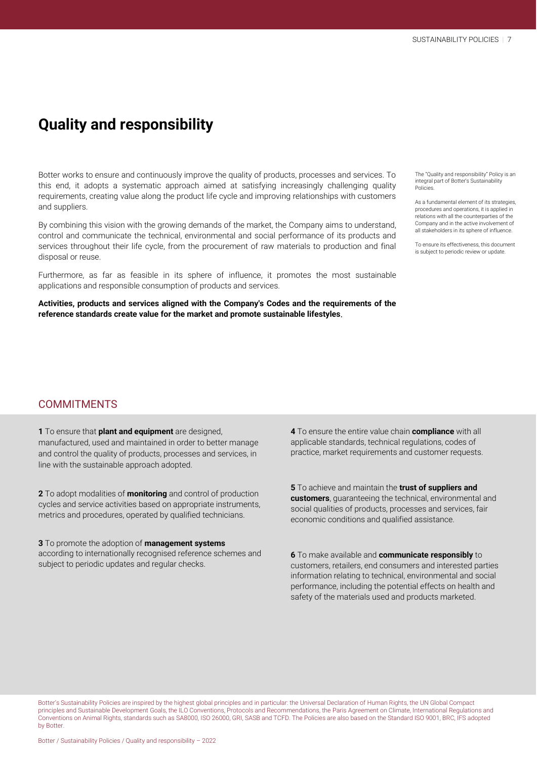## **Quality and responsibility**

Botter works to ensure and continuously improve the quality of products, processes and services. To this end, it adopts a systematic approach aimed at satisfying increasingly challenging quality requirements, creating value along the product life cycle and improving relationships with customers and suppliers.

By combining this vision with the growing demands of the market, the Company aims to understand, control and communicate the technical, environmental and social performance of its products and services throughout their life cycle, from the procurement of raw materials to production and final disposal or reuse.

Furthermore, as far as feasible in its sphere of influence, it promotes the most sustainable applications and responsible consumption of products and services.

**Activities, products and services aligned with the Company's Codes and the requirements of the reference standards create value for the market and promote sustainable lifestyles**.

The "Quality and responsibility" Policy is an integral part of Botter's Sustainability Policies.

As a fundamental element of its strategies, procedures and operations, it is applied in relations with all the counterparties of the Company and in the active involvement of all stakeholders in its sphere of influence.

To ensure its effectiveness, this document is subject to periodic review or update.

#### **COMMITMENTS**

**1** To ensure that **plant and equipment** are designed, manufactured, used and maintained in order to better manage and control the quality of products, processes and services, in line with the sustainable approach adopted.

**2** To adopt modalities of **monitoring** and control of production cycles and service activities based on appropriate instruments, metrics and procedures, operated by qualified technicians.

**3** To promote the adoption of **management systems** according to internationally recognised reference schemes and subject to periodic updates and regular checks.

**4** To ensure the entire value chain **compliance** with all applicable standards, technical regulations, codes of practice, market requirements and customer requests.

**5** To achieve and maintain the **trust of suppliers and customers**, guaranteeing the technical, environmental and social qualities of products, processes and services, fair economic conditions and qualified assistance.

**6** To make available and **communicate responsibly** to customers, retailers, end consumers and interested parties information relating to technical, environmental and social performance, including the potential effects on health and safety of the materials used and products marketed.